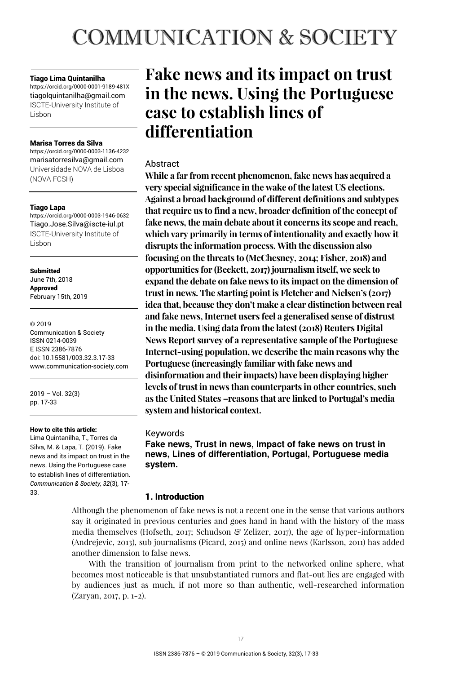# **COMMUNICATION & SOCIETY**

#### Tiago Lima Quintanilha

https://orcid.org/0000-0001-9189-481X tiagolquintanilha@gmail.com ISCTE-University Institute of Lisbon

#### Marisa Torres da Silva

https://orcid.org/0000-0003-1136-4232 marisatorresilva@gmail.com Universidade NOVA de Lisboa (NOVA FCSH)

#### Tiago Lapa

https://orcid.org/0000-0003-1946-0632 Tiago.Jose.Silva@iscte-iul.pt ISCTE-University Institute of Lisbon

**Submitted** June 7th, 2018 **Annroved** February 15th, 2019

© 2019 Communication & Society ISSN 0214-0039 E ISSN 2386-7876 doi: 10.15581/003.32.3.17-33 www.communication-society.com

2019 – Vol. 32(3) pp. 17-33

#### How to cite this article:

Lima Quintanilha, T., Torres da Silva, M. & Lapa, T. (2019). Fake news and its impact on trust in the news. Using the Portuguese case to establish lines of differentiation. *Communication & Society, 32*(3)*,* 17- 33.

# **Fake news and its impact on trust in the news. Using the Portuguese case to establish lines of differentiation**

# Abstract

**While a far from recent phenomenon, fake news has acquired a very special significance in the wake of the latest US elections. Against a broad background of different definitions and subtypes that require us to find a new, broader definition of the concept of fake news, the main debate about it concerns its scope and reach, which vary primarily in terms of intentionality and exactly how it disrupts the information process. With the discussion also focusing on the threats to (McChesney, 2014; Fisher, 2018) and opportunities for (Beckett, 2017) journalism itself, we seek to expand the debate on fake news to its impact on the dimension of trust in news. The starting point is Fletcher and Nielsen's (2017) idea that, because they don't make a clear distinction between real and fake news, Internet users feel a generalised sense of distrust in the media. Using data from the latest (2018) Reuters Digital News Report survey of a representative sample of the Portuguese Internet-using population, we describe the main reasons why the Portuguese (increasingly familiar with fake news and disinformation and their impacts) have been displaying higher levels of trust in news than counterparts in other countries, such as the United States –reasons that are linked to Portugal's media system and historical context.** 

# Keywords

**Fake news, Trust in news, Impact of fake news on trust in news, Lines of differentiation, Portugal, Portuguese media system.** 

# 1. Introduction

Although the phenomenon of fake news is not a recent one in the sense that various authors say it originated in previous centuries and goes hand in hand with the history of the mass media themselves (Hofseth, 2017; Schudson & Zelizer, 2017), the age of hyper-information (Andrejevic, 2013), sub journalisms (Picard, 2015) and online news (Karlsson, 2011) has added another dimension to false news.

With the transition of journalism from print to the networked online sphere, what becomes most noticeable is that unsubstantiated rumors and flat-out lies are engaged with by audiences just as much, if not more so than authentic, well-researched information (Zaryan, 2017, p. 1-2).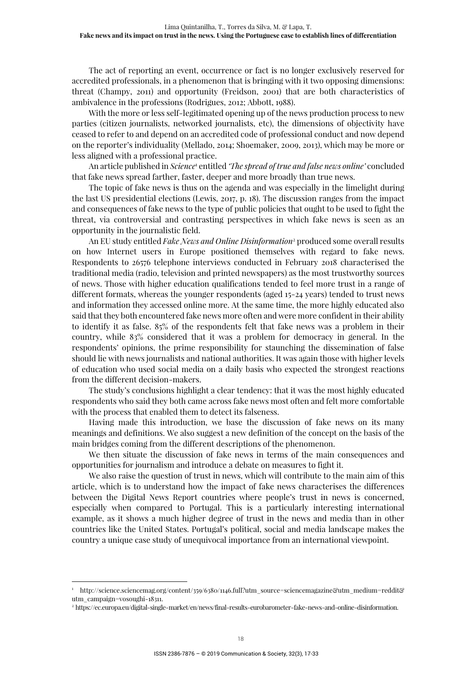The act of reporting an event, occurrence or fact is no longer exclusively reserved for accredited professionals, in a phenomenon that is bringing with it two opposing dimensions: threat (Champy, 2011) and opportunity (Freidson, 2001) that are both characteristics of ambivalence in the professions (Rodrigues, 2012; Abbott, 1988).

With the more or less self-legitimated opening up of the news production process to new parties (citizen journalists, networked journalists, etc), the dimensions of objectivity have ceased to refer to and depend on an accredited code of professional conduct and now depend on the reporter's individuality (Mellado, 2014; Shoemaker, 2009, 2013), which may be more or less aligned with a professional practice.

An article published in *Science<sup>1</sup>* entitled *'The spread of true and false news online'* concluded that fake news spread farther, faster, deeper and more broadly than true news.

The topic of fake news is thus on the agenda and was especially in the limelight during the last US presidential elections (Lewis, 2017, p. 18). The discussion ranges from the impact and consequences of fake news to the type of public policies that ought to be used to fight the threat, via controversial and contrasting perspectives in which fake news is seen as an opportunity in the journalistic field.

An EU study entitled *Fake News and Online Disinformation*<sup>2</sup> produced some overall results on how Internet users in Europe positioned themselves with regard to fake news. Respondents to 26576 telephone interviews conducted in February 2018 characterised the traditional media (radio, television and printed newspapers) as the most trustworthy sources of news. Those with higher education qualifications tended to feel more trust in a range of different formats, whereas the younger respondents (aged 15-24 years) tended to trust news and information they accessed online more. At the same time, the more highly educated also said that they both encountered fake news more often and were more confident in their ability to identify it as false. 85% of the respondents felt that fake news was a problem in their country, while 83% considered that it was a problem for democracy in general. In the respondents' opinions, the prime responsibility for staunching the dissemination of false should lie with news journalists and national authorities. It was again those with higher levels of education who used social media on a daily basis who expected the strongest reactions from the different decision-makers.

The study's conclusions highlight a clear tendency: that it was the most highly educated respondents who said they both came across fake news most often and felt more comfortable with the process that enabled them to detect its falseness.

Having made this introduction, we base the discussion of fake news on its many meanings and definitions. We also suggest a new definition of the concept on the basis of the main bridges coming from the different descriptions of the phenomenon.

We then situate the discussion of fake news in terms of the main consequences and opportunities for journalism and introduce a debate on measures to fight it.

We also raise the question of trust in news, which will contribute to the main aim of this article, which is to understand how the impact of fake news characterises the differences between the Digital News Report countries where people's trust in news is concerned, especially when compared to Portugal. This is a particularly interesting international example, as it shows a much higher degree of trust in the news and media than in other countries like the United States. Portugal's political, social and media landscape makes the country a unique case study of unequivocal importance from an international viewpoint.

<sup>1</sup> http://science.sciencemag.org/content/359/6380/1146.full?utm\_source=sciencemagazine&utm\_medium=reddit& utm\_campaign=vosoughi-18311.

<sup>2</sup> https://ec.europa.eu/digital-single-market/en/news/final-results-eurobarometer-fake-news-and-online-disinformation.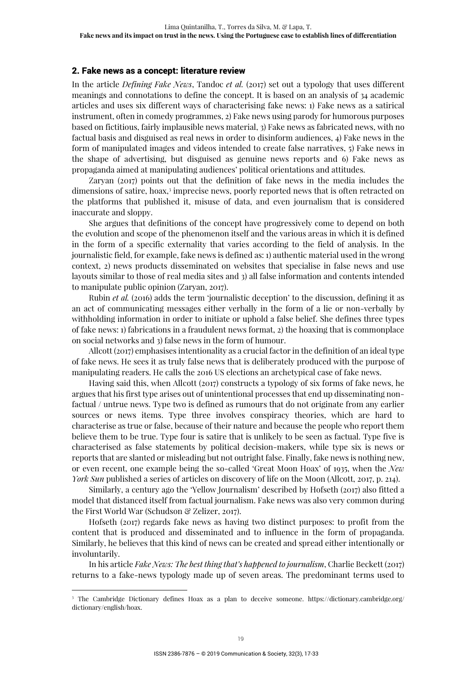#### 2. Fake news as a concept: literature review

In the article *Defining Fake News*, Tandoc *et al.* (2017) set out a typology that uses different meanings and connotations to define the concept. It is based on an analysis of 34 academic articles and uses six different ways of characterising fake news: 1) Fake news as a satirical instrument, often in comedy programmes, 2) Fake news using parody for humorous purposes based on fictitious, fairly implausible news material, 3) Fake news as fabricated news, with no factual basis and disguised as real news in order to disinform audiences, 4) Fake news in the form of manipulated images and videos intended to create false narratives, 5) Fake news in the shape of advertising, but disguised as genuine news reports and 6) Fake news as propaganda aimed at manipulating audiences' political orientations and attitudes.

Zaryan (2017) points out that the definition of fake news in the media includes the dimensions of satire, hoax,<sup>3</sup> imprecise news, poorly reported news that is often retracted on the platforms that published it, misuse of data, and even journalism that is considered inaccurate and sloppy.

She argues that definitions of the concept have progressively come to depend on both the evolution and scope of the phenomenon itself and the various areas in which it is defined in the form of a specific externality that varies according to the field of analysis. In the journalistic field, for example, fake news is defined as: 1) authentic material used in the wrong context, 2) news products disseminated on websites that specialise in false news and use layouts similar to those of real media sites and 3) all false information and contents intended to manipulate public opinion (Zaryan, 2017).

Rubin *et al.* (2016) adds the term 'journalistic deception' to the discussion, defining it as an act of communicating messages either verbally in the form of a lie or non-verbally by withholding information in order to initiate or uphold a false belief. She defines three types of fake news: 1) fabrications in a fraudulent news format, 2) the hoaxing that is commonplace on social networks and 3) false news in the form of humour.

Allcott (2017) emphasises intentionality as a crucial factor in the definition of an ideal type of fake news. He sees it as truly false news that is deliberately produced with the purpose of manipulating readers. He calls the 2016 US elections an archetypical case of fake news.

Having said this, when Allcott (2017) constructs a typology of six forms of fake news, he argues that his first type arises out of unintentional processes that end up disseminating nonfactual / untrue news. Type two is defined as rumours that do not originate from any earlier sources or news items. Type three involves conspiracy theories, which are hard to characterise as true or false, because of their nature and because the people who report them believe them to be true. Type four is satire that is unlikely to be seen as factual. Type five is characterised as false statements by political decision-makers, while type six is news or reports that are slanted or misleading but not outright false. Finally, fake news is nothing new, or even recent, one example being the so-called 'Great Moon Hoax' of 1935, when the *New York Sun* published a series of articles on discovery of life on the Moon (Allcott, 2017, p. 214).

Similarly, a century ago the 'Yellow Journalism' described by Hofseth (2017) also fitted a model that distanced itself from factual journalism. Fake news was also very common during the First World War (Schudson & Zelizer, 2017).

Hofseth (2017) regards fake news as having two distinct purposes: to profit from the content that is produced and disseminated and to influence in the form of propaganda. Similarly, he believes that this kind of news can be created and spread either intentionally or involuntarily.

In his article *Fake News: The best thing that's happened to journalism*, Charlie Beckett (2017) returns to a fake-news typology made up of seven areas. The predominant terms used to

<sup>3</sup> The Cambridge Dictionary defines Hoax as a plan to deceive someone. https://dictionary.cambridge.org/ dictionary/english/hoax.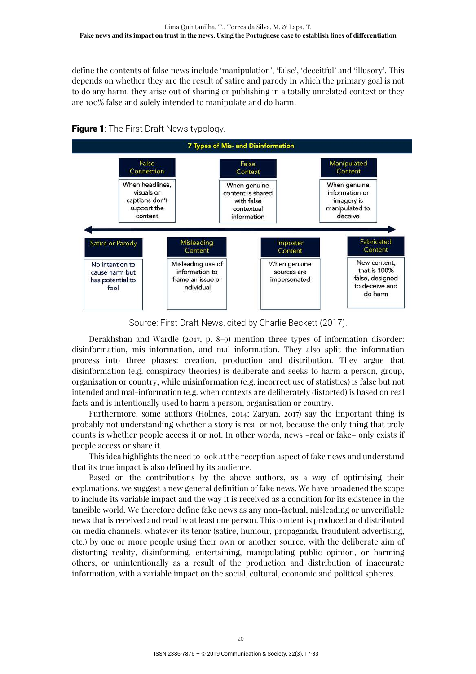define the contents of false news include 'manipulation', 'false', 'deceitful' and 'illusory'. This depends on whether they are the result of satire and parody in which the primary goal is not to do any harm, they arise out of sharing or publishing in a totally unrelated context or they are 100% false and solely intended to manipulate and do harm.



**Figure 1:** The First Draft News typology.

Source: First Draft News, cited by Charlie Beckett (2017).

Derakhshan and Wardle (2017, p. 8-9) mention three types of information disorder: disinformation, mis-information, and mal-information. They also split the information process into three phases: creation, production and distribution. They argue that disinformation (e.g. conspiracy theories) is deliberate and seeks to harm a person, group, organisation or country, while misinformation (e.g. incorrect use of statistics) is false but not intended and mal-information (e.g. when contexts are deliberately distorted) is based on real facts and is intentionally used to harm a person, organisation or country.

Furthermore, some authors (Holmes, 2014; Zaryan, 2017) say the important thing is probably not understanding whether a story is real or not, because the only thing that truly counts is whether people access it or not. In other words, news –real or fake– only exists if people access or share it.

This idea highlights the need to look at the reception aspect of fake news and understand that its true impact is also defined by its audience.

Based on the contributions by the above authors, as a way of optimising their explanations, we suggest a new general definition of fake news. We have broadened the scope to include its variable impact and the way it is received as a condition for its existence in the tangible world. We therefore define fake news as any non-factual, misleading or unverifiable news that is received and read by at least one person. This content is produced and distributed on media channels, whatever its tenor (satire, humour, propaganda, fraudulent advertising, etc.) by one or more people using their own or another source, with the deliberate aim of distorting reality, disinforming, entertaining, manipulating public opinion, or harming others, or unintentionally as a result of the production and distribution of inaccurate information, with a variable impact on the social, cultural, economic and political spheres.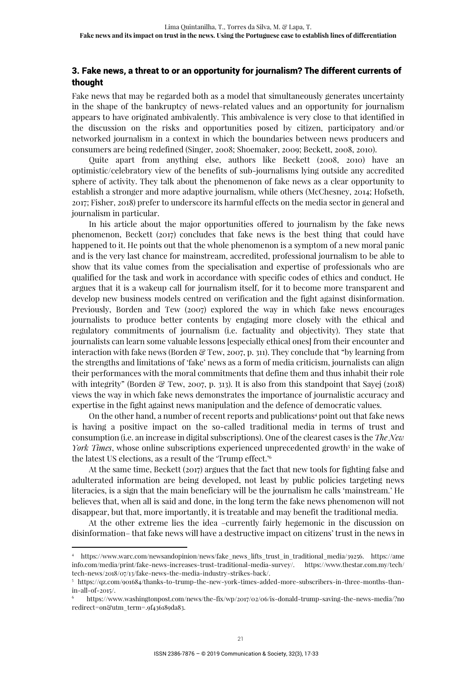# 3. Fake news, a threat to or an opportunity for journalism? The different currents of thought

Fake news that may be regarded both as a model that simultaneously generates uncertainty in the shape of the bankruptcy of news-related values and an opportunity for journalism appears to have originated ambivalently. This ambivalence is very close to that identified in the discussion on the risks and opportunities posed by citizen, participatory and/or networked journalism in a context in which the boundaries between news producers and consumers are being redefined (Singer, 2008; Shoemaker, 2009; Beckett, 2008, 2010).

Quite apart from anything else, authors like Beckett (2008, 2010) have an optimistic/celebratory view of the benefits of sub-journalisms lying outside any accredited sphere of activity. They talk about the phenomenon of fake news as a clear opportunity to establish a stronger and more adaptive journalism, while others (McChesney, 2014; Hofseth, 2017; Fisher, 2018) prefer to underscore its harmful effects on the media sector in general and journalism in particular.

In his article about the major opportunities offered to journalism by the fake news phenomenon, Beckett (2017) concludes that fake news is the best thing that could have happened to it. He points out that the whole phenomenon is a symptom of a new moral panic and is the very last chance for mainstream, accredited, professional journalism to be able to show that its value comes from the specialisation and expertise of professionals who are qualified for the task and work in accordance with specific codes of ethics and conduct. He argues that it is a wakeup call for journalism itself, for it to become more transparent and develop new business models centred on verification and the fight against disinformation. Previously, Borden and Tew (2007) explored the way in which fake news encourages journalists to produce better contents by engaging more closely with the ethical and regulatory commitments of journalism (i.e. factuality and objectivity). They state that journalists can learn some valuable lessons [especially ethical ones] from their encounter and interaction with fake news (Borden  $\mathcal{C}$  Tew, 2007, p. 311). They conclude that "by learning from the strengths and limitations of 'fake' news as a form of media criticism, journalists can align their performances with the moral commitments that define them and thus inhabit their role with integrity" (Borden & Tew, 2007, p. 313). It is also from this standpoint that Sayej (2018) views the way in which fake news demonstrates the importance of journalistic accuracy and expertise in the fight against news manipulation and the defence of democratic values.

On the other hand, a number of recent reports and publications<sup>4</sup> point out that fake news is having a positive impact on the so-called traditional media in terms of trust and consumption (i.e. an increase in digital subscriptions). One of the clearest cases is the *The New York Times*, whose online subscriptions experienced unprecedented growth<sup>5</sup> in the wake of the latest US elections, as a result of the 'Trump effect.'<sup>6</sup>

At the same time, Beckett (2017) argues that the fact that new tools for fighting false and adulterated information are being developed, not least by public policies targeting news literacies, is a sign that the main beneficiary will be the journalism he calls 'mainstream.' He believes that, when all is said and done, in the long term the fake news phenomenon will not disappear, but that, more importantly, it is treatable and may benefit the traditional media.

At the other extreme lies the idea –currently fairly hegemonic in the discussion on disinformation– that fake news will have a destructive impact on citizens' trust in the news in

<sup>4</sup> https://www.warc.com/newsandopinion/news/fake\_news\_lifts\_trust\_in\_traditional\_media/39256. https://ame info.com/media/print/fake-news-increases-trust-traditional-media-survey/. https://www.thestar.com.my/tech/ tech-news/2018/07/13/fake-news-the-media-industry-strikes-back/.

<sup>5</sup> https://qz.com/901684/thanks-to-trump-the-new-york-times-added-more-subscribers-in-three-months-thanin-all-of-2015/.

<sup>6</sup> https://www.washingtonpost.com/news/the-fix/wp/2017/02/06/is-donald-trump-saving-the-news-media/?no redirect=on&utm\_term=.9f436189da83.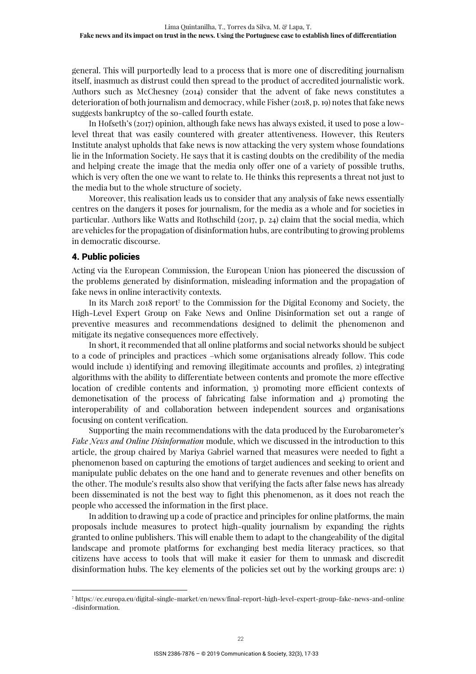general. This will purportedly lead to a process that is more one of discrediting journalism itself, inasmuch as distrust could then spread to the product of accredited journalistic work. Authors such as McChesney (2014) consider that the advent of fake news constitutes a deterioration of both journalism and democracy, while Fisher (2018, p. 19) notes that fake news suggests bankruptcy of the so-called fourth estate.

In Hofseth's (2017) opinion, although fake news has always existed, it used to pose a lowlevel threat that was easily countered with greater attentiveness. However, this Reuters Institute analyst upholds that fake news is now attacking the very system whose foundations lie in the Information Society. He says that it is casting doubts on the credibility of the media and helping create the image that the media only offer one of a variety of possible truths, which is very often the one we want to relate to. He thinks this represents a threat not just to the media but to the whole structure of society.

Moreover, this realisation leads us to consider that any analysis of fake news essentially centres on the dangers it poses for journalism, for the media as a whole and for societies in particular. Authors like Watts and Rothschild (2017, p. 24) claim that the social media, which are vehicles for the propagation of disinformation hubs, are contributing to growing problems in democratic discourse.

# 4. Public policies

 $\overline{a}$ 

Acting via the European Commission, the European Union has pioneered the discussion of the problems generated by disinformation, misleading information and the propagation of fake news in online interactivity contexts.

In its March 2018 report<sup>7</sup> to the Commission for the Digital Economy and Society, the High-Level Expert Group on Fake News and Online Disinformation set out a range of preventive measures and recommendations designed to delimit the phenomenon and mitigate its negative consequences more effectively.

In short, it recommended that all online platforms and social networks should be subject to a code of principles and practices –which some organisations already follow. This code would include 1) identifying and removing illegitimate accounts and profiles, 2) integrating algorithms with the ability to differentiate between contents and promote the more effective location of credible contents and information, 3) promoting more efficient contexts of demonetisation of the process of fabricating false information and 4) promoting the interoperability of and collaboration between independent sources and organisations focusing on content verification.

Supporting the main recommendations with the data produced by the Eurobarometer's *Fake News and Online Disinformation* module, which we discussed in the introduction to this article, the group chaired by Mariya Gabriel warned that measures were needed to fight a phenomenon based on capturing the emotions of target audiences and seeking to orient and manipulate public debates on the one hand and to generate revenues and other benefits on the other. The module's results also show that verifying the facts after false news has already been disseminated is not the best way to fight this phenomenon, as it does not reach the people who accessed the information in the first place.

In addition to drawing up a code of practice and principles for online platforms, the main proposals include measures to protect high-quality journalism by expanding the rights granted to online publishers. This will enable them to adapt to the changeability of the digital landscape and promote platforms for exchanging best media literacy practices, so that citizens have access to tools that will make it easier for them to unmask and discredit disinformation hubs. The key elements of the policies set out by the working groups are: 1)

<sup>7</sup> https://ec.europa.eu/digital-single-market/en/news/final-report-high-level-expert-group-fake-news-and-online -disinformation.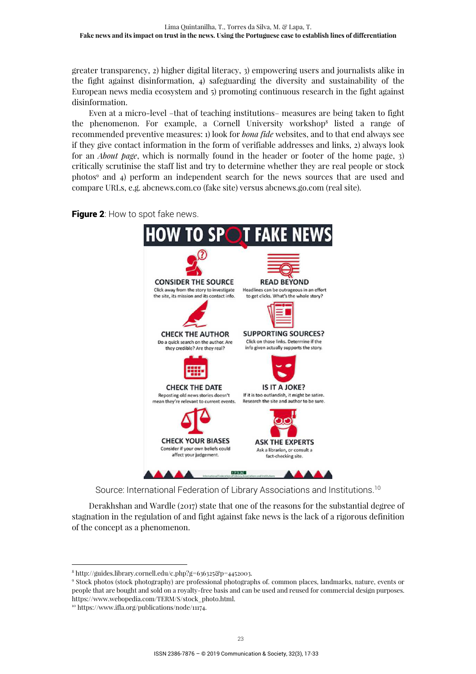greater transparency, 2) higher digital literacy, 3) empowering users and journalists alike in the fight against disinformation, 4) safeguarding the diversity and sustainability of the European news media ecosystem and 5) promoting continuous research in the fight against disinformation.

Even at a micro-level –that of teaching institutions– measures are being taken to fight the phenomenon. For example, a Cornell University workshop<sup>8</sup> listed a range of recommended preventive measures: 1) look for *bona fide* websites, and to that end always see if they give contact information in the form of verifiable addresses and links, 2) always look for an *About page*, which is normally found in the header or footer of the home page, 3) critically scrutinise the staff list and try to determine whether they are real people or stock photos<sup>9</sup> and 4) perform an independent search for the news sources that are used and compare URLs, e.g. abcnews.com.co (fake site) versus abcnews.go.com (real site).



Figure 2: How to spot fake news.

Source: International Federation of Library Associations and Institutions.<sup>10</sup>

Derakhshan and Wardle (2017) state that one of the reasons for the substantial degree of stagnation in the regulation of and fight against fake news is the lack of a rigorous definition of the concept as a phenomenon.

10 https://www.ifla.org/publications/node/11174.

<sup>8</sup> http://guides.library.cornell.edu/c.php?g=636325&p=4452003.

<sup>9</sup> Stock photos (stock photography) are professional photographs of. common places, landmarks, nature, events or people that are bought and sold on a royalty-free basis and can be used and reused for commercial design purposes. https://www.webopedia.com/TERM/S/stock\_photo.html.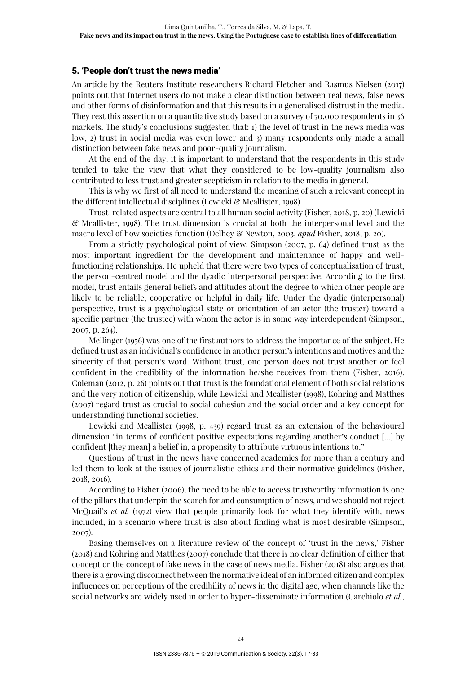# 5. 'People don't trust the news media'

An article by the Reuters Institute researchers Richard Fletcher and Rasmus Nielsen (2017) points out that Internet users do not make a clear distinction between real news, false news and other forms of disinformation and that this results in a generalised distrust in the media. They rest this assertion on a quantitative study based on a survey of 70,000 respondents in 36 markets. The study's conclusions suggested that: 1) the level of trust in the news media was low, 2) trust in social media was even lower and 3) many respondents only made a small distinction between fake news and poor-quality journalism.

At the end of the day, it is important to understand that the respondents in this study tended to take the view that what they considered to be low-quality journalism also contributed to less trust and greater scepticism in relation to the media in general.

This is why we first of all need to understand the meaning of such a relevant concept in the different intellectual disciplines (Lewicki & Mcallister, 1998).

Trust-related aspects are central to all human social activity (Fisher, 2018, p. 20) (Lewicki & Mcallister, 1998). The trust dimension is crucial at both the interpersonal level and the macro level of how societies function (Delhey & Newton, 2003, *apud* Fisher, 2018, p. 20).

From a strictly psychological point of view, Simpson (2007, p. 64) defined trust as the most important ingredient for the development and maintenance of happy and wellfunctioning relationships. He upheld that there were two types of conceptualisation of trust, the person-centred model and the dyadic interpersonal perspective. According to the first model, trust entails general beliefs and attitudes about the degree to which other people are likely to be reliable, cooperative or helpful in daily life. Under the dyadic (interpersonal) perspective, trust is a psychological state or orientation of an actor (the truster) toward a specific partner (the trustee) with whom the actor is in some way interdependent (Simpson, 2007, p. 264).

Mellinger (1956) was one of the first authors to address the importance of the subject. He defined trust as an individual's confidence in another person's intentions and motives and the sincerity of that person's word. Without trust, one person does not trust another or feel confident in the credibility of the information he/she receives from them (Fisher, 2016). Coleman (2012, p. 26) points out that trust is the foundational element of both social relations and the very notion of citizenship, while Lewicki and Mcallister (1998), Kohring and Matthes (2007) regard trust as crucial to social cohesion and the social order and a key concept for understanding functional societies.

Lewicki and Mcallister (1998, p. 439) regard trust as an extension of the behavioural dimension "in terms of confident positive expectations regarding another's conduct […] by confident [they mean] a belief in, a propensity to attribute virtuous intentions to."

Questions of trust in the news have concerned academics for more than a century and led them to look at the issues of journalistic ethics and their normative guidelines (Fisher, 2018, 2016).

According to Fisher (2006), the need to be able to access trustworthy information is one of the pillars that underpin the search for and consumption of news, and we should not reject McQuail's *et al.* (1972) view that people primarily look for what they identify with, news included, in a scenario where trust is also about finding what is most desirable (Simpson, 2007).

Basing themselves on a literature review of the concept of 'trust in the news,' Fisher (2018) and Kohring and Matthes (2007) conclude that there is no clear definition of either that concept or the concept of fake news in the case of news media. Fisher (2018) also argues that there is a growing disconnect between the normative ideal of an informed citizen and complex influences on perceptions of the credibility of news in the digital age, when channels like the social networks are widely used in order to hyper-disseminate information (Carchiolo *et al.*,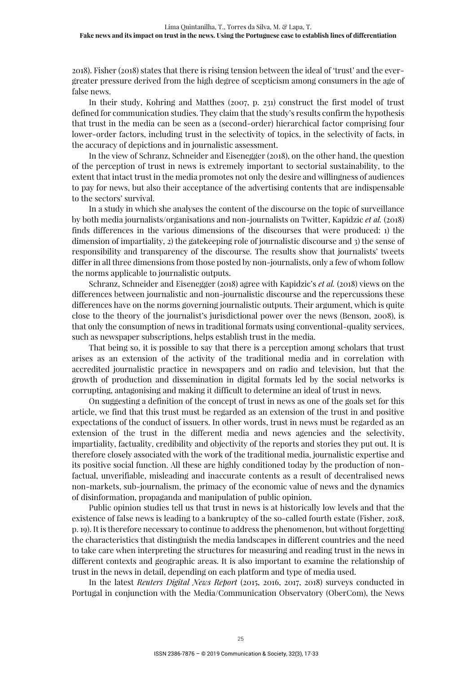2018). Fisher (2018) states that there is rising tension between the ideal of 'trust' and the evergreater pressure derived from the high degree of scepticism among consumers in the age of false news.

In their study, Kohring and Matthes (2007, p. 231) construct the first model of trust defined for communication studies. They claim that the study's results confirm the hypothesis that trust in the media can be seen as a (second-order) hierarchical factor comprising four lower-order factors, including trust in the selectivity of topics, in the selectivity of facts, in the accuracy of depictions and in journalistic assessment.

In the view of Schranz, Schneider and Eisenegger (2018), on the other hand, the question of the perception of trust in news is extremely important to sectorial sustainability, to the extent that intact trust in the media promotes not only the desire and willingness of audiences to pay for news, but also their acceptance of the advertising contents that are indispensable to the sectors' survival.

In a study in which she analyses the content of the discourse on the topic of surveillance by both media journalists/organisations and non-journalists on Twitter, Kapidzic *et al.* (2018) finds differences in the various dimensions of the discourses that were produced: 1) the dimension of impartiality, 2) the gatekeeping role of journalistic discourse and 3) the sense of responsibility and transparency of the discourse. The results show that journalists' tweets differ in all three dimensions from those posted by non-journalists, only a few of whom follow the norms applicable to journalistic outputs.

Schranz, Schneider and Eisenegger (2018) agree with Kapidzic's *et al.* (2018) views on the differences between journalistic and non-journalistic discourse and the repercussions these differences have on the norms governing journalistic outputs. Their argument, which is quite close to the theory of the journalist's jurisdictional power over the news (Benson, 2008), is that only the consumption of news in traditional formats using conventional-quality services, such as newspaper subscriptions, helps establish trust in the media.

That being so, it is possible to say that there is a perception among scholars that trust arises as an extension of the activity of the traditional media and in correlation with accredited journalistic practice in newspapers and on radio and television, but that the growth of production and dissemination in digital formats led by the social networks is corrupting, antagonising and making it difficult to determine an ideal of trust in news.

On suggesting a definition of the concept of trust in news as one of the goals set for this article, we find that this trust must be regarded as an extension of the trust in and positive expectations of the conduct of issuers. In other words, trust in news must be regarded as an extension of the trust in the different media and news agencies and the selectivity, impartiality, factuality, credibility and objectivity of the reports and stories they put out. It is therefore closely associated with the work of the traditional media, journalistic expertise and its positive social function. All these are highly conditioned today by the production of nonfactual, unverifiable, misleading and inaccurate contents as a result of decentralised news non-markets, sub-journalism, the primacy of the economic value of news and the dynamics of disinformation, propaganda and manipulation of public opinion.

Public opinion studies tell us that trust in news is at historically low levels and that the existence of false news is leading to a bankruptcy of the so-called fourth estate (Fisher, 2018, p. 19). It is therefore necessary to continue to address the phenomenon, but without forgetting the characteristics that distinguish the media landscapes in different countries and the need to take care when interpreting the structures for measuring and reading trust in the news in different contexts and geographic areas. It is also important to examine the relationship of trust in the news in detail, depending on each platform and type of media used.

In the latest *Reuters Digital News Report* (2015, 2016, 2017, 2018) surveys conducted in Portugal in conjunction with the Media/Communication Observatory (OberCom), the News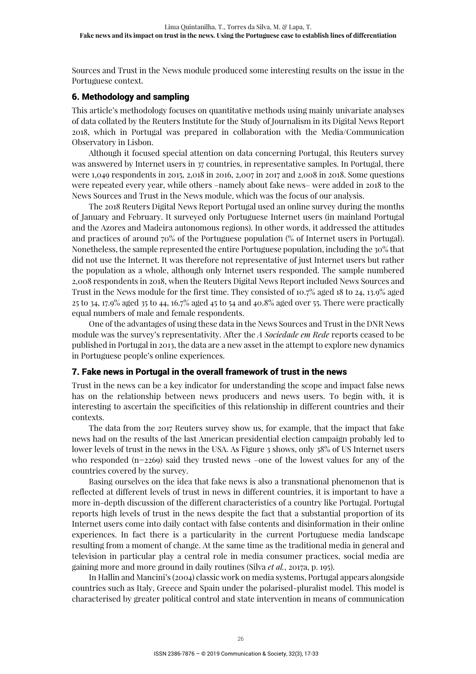Sources and Trust in the News module produced some interesting results on the issue in the Portuguese context.

# 6. Methodology and sampling

This article's methodology focuses on quantitative methods using mainly univariate analyses of data collated by the Reuters Institute for the Study of Journalism in its Digital News Report 2018, which in Portugal was prepared in collaboration with the Media/Communication Observatory in Lisbon.

Although it focused special attention on data concerning Portugal, this Reuters survey was answered by Internet users in 37 countries, in representative samples. In Portugal, there were 1,049 respondents in 2015, 2,018 in 2016, 2,007 in 2017 and 2,008 in 2018. Some questions were repeated every year, while others –namely about fake news– were added in 2018 to the News Sources and Trust in the News module, which was the focus of our analysis.

The 2018 Reuters Digital News Report Portugal used an online survey during the months of January and February. It surveyed only Portuguese Internet users (in mainland Portugal and the Azores and Madeira autonomous regions). In other words, it addressed the attitudes and practices of around 70% of the Portuguese population (% of Internet users in Portugal). Nonetheless, the sample represented the entire Portuguese population, including the 30% that did not use the Internet. It was therefore not representative of just Internet users but rather the population as a whole, although only Internet users responded. The sample numbered 2,008 respondents in 2018, when the Reuters Digital News Report included News Sources and Trust in the News module for the first time. They consisted of 10.7% aged 18 to 24, 13.9% aged 25 to 34, 17.9% aged 35 to 44, 16.7% aged 45 to 54 and 40.8% aged over 55. There were practically equal numbers of male and female respondents.

One of the advantages of using these data in the News Sources and Trust in the DNR News module was the survey's representativity. After the *A Sociedade em Rede* reports ceased to be published in Portugal in 2013, the data are a new asset in the attempt to explore new dynamics in Portuguese people's online experiences.

# 7. Fake news in Portugal in the overall framework of trust in the news

Trust in the news can be a key indicator for understanding the scope and impact false news has on the relationship between news producers and news users. To begin with, it is interesting to ascertain the specificities of this relationship in different countries and their contexts.

The data from the 2017 Reuters survey show us, for example, that the impact that fake news had on the results of the last American presidential election campaign probably led to lower levels of trust in the news in the USA. As Figure 3 shows, only 38% of US Internet users who responded  $(n=2269)$  said they trusted news –one of the lowest values for any of the countries covered by the survey.

Basing ourselves on the idea that fake news is also a transnational phenomenon that is reflected at different levels of trust in news in different countries, it is important to have a more in-depth discussion of the different characteristics of a country like Portugal. Portugal reports high levels of trust in the news despite the fact that a substantial proportion of its Internet users come into daily contact with false contents and disinformation in their online experiences. In fact there is a particularity in the current Portuguese media landscape resulting from a moment of change. At the same time as the traditional media in general and television in particular play a central role in media consumer practices, social media are gaining more and more ground in daily routines (Silva *et al.*, 2017a, p. 195).

In Hallin and Mancini's (2004) classic work on media systems, Portugal appears alongside countries such as Italy, Greece and Spain under the polarised-pluralist model. This model is characterised by greater political control and state intervention in means of communication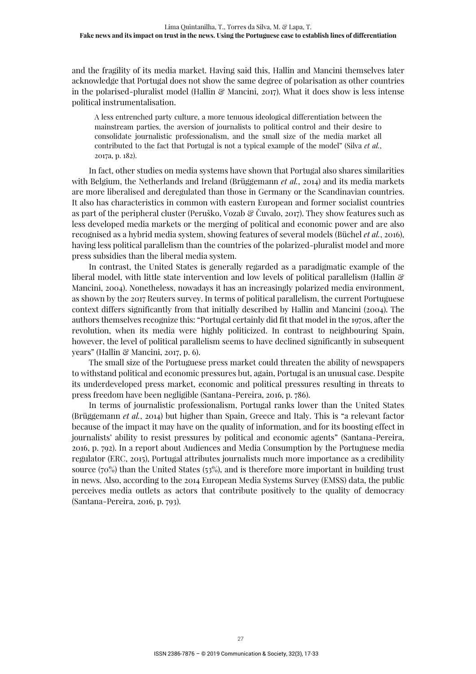and the fragility of its media market. Having said this, Hallin and Mancini themselves later acknowledge that Portugal does not show the same degree of polarisation as other countries in the polarised-pluralist model (Hallin  $\mathcal{C}$  Mancini, 2017). What it does show is less intense political instrumentalisation.

A less entrenched party culture, a more tenuous ideological differentiation between the mainstream parties, the aversion of journalists to political control and their desire to consolidate journalistic professionalism, and the small size of the media market all contributed to the fact that Portugal is not a typical example of the model" (Silva *et al.*, 2017a, p. 182).

In fact, other studies on media systems have shown that Portugal also shares similarities with Belgium, the Netherlands and Ireland (Brüggemann *et al.*, 2014) and its media markets are more liberalised and deregulated than those in Germany or the Scandinavian countries. It also has characteristics in common with eastern European and former socialist countries as part of the peripheral cluster (Peruško, Vozab & Čuvalo, 2017). They show features such as less developed media markets or the merging of political and economic power and are also recognised as a hybrid media system, showing features of several models (Büchel *et al.*, 2016), having less political parallelism than the countries of the polarized-pluralist model and more press subsidies than the liberal media system.

In contrast, the United States is generally regarded as a paradigmatic example of the liberal model, with little state intervention and low levels of political parallelism (Hallin & Mancini, 2004). Nonetheless, nowadays it has an increasingly polarized media environment, as shown by the 2017 Reuters survey. In terms of political parallelism, the current Portuguese context differs significantly from that initially described by Hallin and Mancini (2004). The authors themselves recognize this: "Portugal certainly did fit that model in the 1970s, after the revolution, when its media were highly politicized. In contrast to neighbouring Spain, however, the level of political parallelism seems to have declined significantly in subsequent years" (Hallin & Mancini, 2017, p. 6).

The small size of the Portuguese press market could threaten the ability of newspapers to withstand political and economic pressures but, again, Portugal is an unusual case. Despite its underdeveloped press market, economic and political pressures resulting in threats to press freedom have been negligible (Santana-Pereira, 2016, p. 786).

In terms of journalistic professionalism, Portugal ranks lower than the United States (Brüggemann *et al.*, 2014) but higher than Spain, Greece and Italy. This is "a relevant factor because of the impact it may have on the quality of information, and for its boosting effect in journalists' ability to resist pressures by political and economic agents" (Santana-Pereira, 2016, p. 792). In a report about Audiences and Media Consumption by the Portuguese media regulator (ERC, 2015), Portugal attributes journalists much more importance as a credibility source (70%) than the United States (53%), and is therefore more important in building trust in news. Also, according to the 2014 European Media Systems Survey (EMSS) data, the public perceives media outlets as actors that contribute positively to the quality of democracy (Santana-Pereira, 2016, p. 793).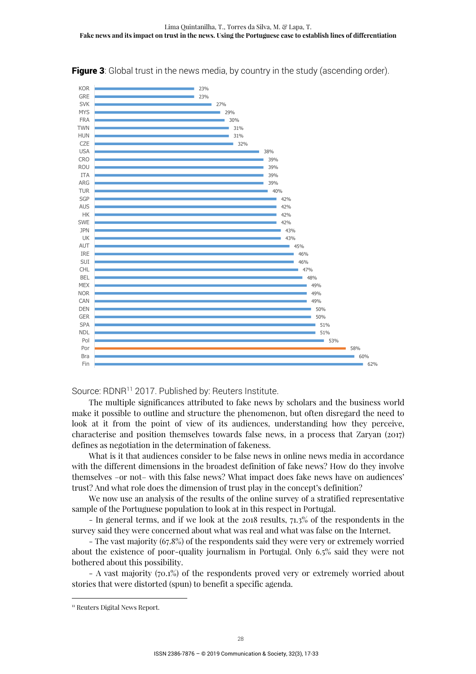

**Figure 3**: Global trust in the news media, by country in the study (ascending order).

Source: RDNR<sup>11</sup> 2017. Published by: Reuters Institute.

The multiple significances attributed to fake news by scholars and the business world make it possible to outline and structure the phenomenon, but often disregard the need to look at it from the point of view of its audiences, understanding how they perceive, characterise and position themselves towards false news, in a process that Zaryan (2017) defines as negotiation in the determination of fakeness.

What is it that audiences consider to be false news in online news media in accordance with the different dimensions in the broadest definition of fake news? How do they involve themselves –or not– with this false news? What impact does fake news have on audiences' trust? And what role does the dimension of trust play in the concept's definition?

We now use an analysis of the results of the online survey of a stratified representative sample of the Portuguese population to look at in this respect in Portugal.

- In general terms, and if we look at the 2018 results, 71.3% of the respondents in the survey said they were concerned about what was real and what was false on the Internet.

- The vast majority (67.8%) of the respondents said they were very or extremely worried about the existence of poor-quality journalism in Portugal. Only 6.5% said they were not bothered about this possibility.

- A vast majority (70.1%) of the respondents proved very or extremely worried about stories that were distorted (spun) to benefit a specific agenda.

<sup>&</sup>lt;sup>11</sup> Reuters Digital News Report.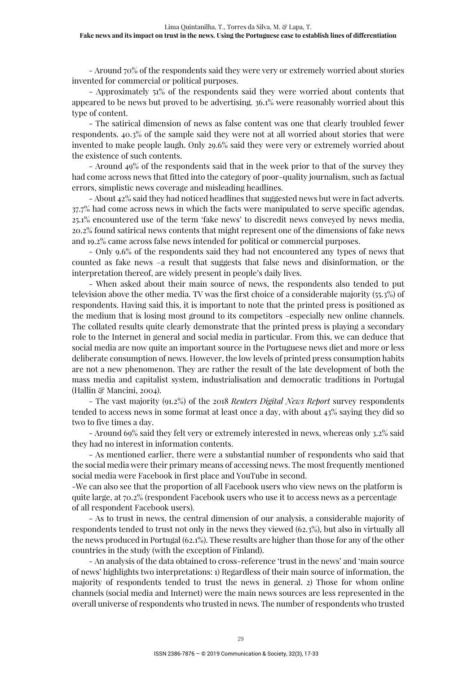- Around 70% of the respondents said they were very or extremely worried about stories invented for commercial or political purposes.

- Approximately 51% of the respondents said they were worried about contents that appeared to be news but proved to be advertising. 36.1% were reasonably worried about this type of content.

- The satirical dimension of news as false content was one that clearly troubled fewer respondents. 40.3% of the sample said they were not at all worried about stories that were invented to make people laugh. Only 29.6% said they were very or extremely worried about the existence of such contents.

- Around 49% of the respondents said that in the week prior to that of the survey they had come across news that fitted into the category of poor-quality journalism, such as factual errors, simplistic news coverage and misleading headlines.

- About 42% said they had noticed headlines that suggested news but were in fact adverts. 37.7% had come across news in which the facts were manipulated to serve specific agendas, 25.1% encountered use of the term 'fake news' to discredit news conveyed by news media, 20.2% found satirical news contents that might represent one of the dimensions of fake news and 19.2% came across false news intended for political or commercial purposes.

- Only 9.6% of the respondents said they had not encountered any types of news that counted as fake news –a result that suggests that false news and disinformation, or the interpretation thereof, are widely present in people's daily lives.

- When asked about their main source of news, the respondents also tended to put television above the other media. TV was the first choice of a considerable majority (55.3%) of respondents. Having said this, it is important to note that the printed press is positioned as the medium that is losing most ground to its competitors –especially new online channels. The collated results quite clearly demonstrate that the printed press is playing a secondary role to the Internet in general and social media in particular. From this, we can deduce that social media are now quite an important source in the Portuguese news diet and more or less deliberate consumption of news. However, the low levels of printed press consumption habits are not a new phenomenon. They are rather the result of the late development of both the mass media and capitalist system, industrialisation and democratic traditions in Portugal (Hallin & Mancini, 2004).

- The vast majority (91.2%) of the 2018 *Reuters Digital News Report* survey respondents tended to access news in some format at least once a day, with about 43% saying they did so two to five times a day.

- Around 69% said they felt very or extremely interested in news, whereas only 3.2% said they had no interest in information contents.

- As mentioned earlier, there were a substantial number of respondents who said that the social media were their primary means of accessing news. The most frequently mentioned social media were Facebook in first place and YouTube in second.

-We can also see that the proportion of all Facebook users who view news on the platform is quite large, at 70.2% (respondent Facebook users who use it to access news as a percentage of all respondent Facebook users).

- As to trust in news, the central dimension of our analysis, a considerable majority of respondents tended to trust not only in the news they viewed (62.3%), but also in virtually all the news produced in Portugal (62.1%). These results are higher than those for any of the other countries in the study (with the exception of Finland).

- An analysis of the data obtained to cross-reference 'trust in the news' and 'main source of news' highlights two interpretations: 1) Regardless of their main source of information, the majority of respondents tended to trust the news in general. 2) Those for whom online channels (social media and Internet) were the main news sources are less represented in the overall universe of respondents who trusted in news. The number of respondents who trusted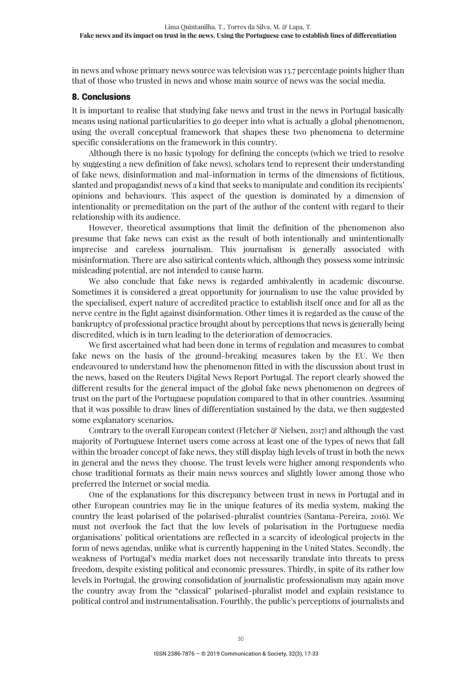in news and whose primary news source was television was 13.7 percentage points higher than that of those who trusted in news and whose main source of news was the social media.

# 8. Conclusions

It is important to realise that studying fake news and trust in the news in Portugal basically means using national particularities to go deeper into what is actually a global phenomenon, using the overall conceptual framework that shapes these two phenomena to determine specific considerations on the framework in this country.

Although there is no basic typology for defining the concepts (which we tried to resolve by suggesting a new definition of fake news), scholars tend to represent their understanding of fake news, disinformation and mal-information in terms of the dimensions of fictitious, slanted and propagandist news of a kind that seeks to manipulate and condition its recipients' opinions and behaviours. This aspect of the question is dominated by a dimension of intentionality or premeditation on the part of the author of the content with regard to their relationship with its audience.

However, theoretical assumptions that limit the definition of the phenomenon also presume that fake news can exist as the result of both intentionally and unintentionally imprecise and careless journalism. This journalism is generally associated with misinformation. There are also satirical contents which, although they possess some intrinsic misleading potential, are not intended to cause harm.

We also conclude that fake news is regarded ambivalently in academic discourse. Sometimes it is considered a great opportunity for journalism to use the value provided by the specialised, expert nature of accredited practice to establish itself once and for all as the nerve centre in the fight against disinformation. Other times it is regarded as the cause of the bankruptcy of professional practice brought about by perceptions that news is generally being discredited, which is in turn leading to the deterioration of democracies.

We first ascertained what had been done in terms of regulation and measures to combat fake news on the basis of the ground-breaking measures taken by the EU. We then endeavoured to understand how the phenomenon fitted in with the discussion about trust in the news, based on the Reuters Digital News Report Portugal. The report clearly showed the different results for the general impact of the global fake news phenomenon on degrees of trust on the part of the Portuguese population compared to that in other countries. Assuming that it was possible to draw lines of differentiation sustained by the data, we then suggested some explanatory scenarios.

Contrary to the overall European context (Fletcher  $\mathcal{C}$  Nielsen, 2017) and although the vast majority of Portuguese Internet users come across at least one of the types of news that fall within the broader concept of fake news, they still display high levels of trust in both the news in general and the news they choose. The trust levels were higher among respondents who chose traditional formats as their main news sources and slightly lower among those who preferred the Internet or social media.

One of the explanations for this discrepancy between trust in news in Portugal and in other European countries may lie in the unique features of its media system, making the country the least polarised of the polarised-pluralist countries (Santana-Pereira, 2016). We must not overlook the fact that the low levels of polarisation in the Portuguese media organisations' political orientations are reflected in a scarcity of ideological projects in the form of news agendas, unlike what is currently happening in the United States. Secondly, the weakness of Portugal's media market does not necessarily translate into threats to press freedom, despite existing political and economic pressures. Thirdly, in spite of its rather low levels in Portugal, the growing consolidation of journalistic professionalism may again move the country away from the "classical" polarised-pluralist model and explain resistance to political control and instrumentalisation. Fourthly, the public's perceptions of journalists and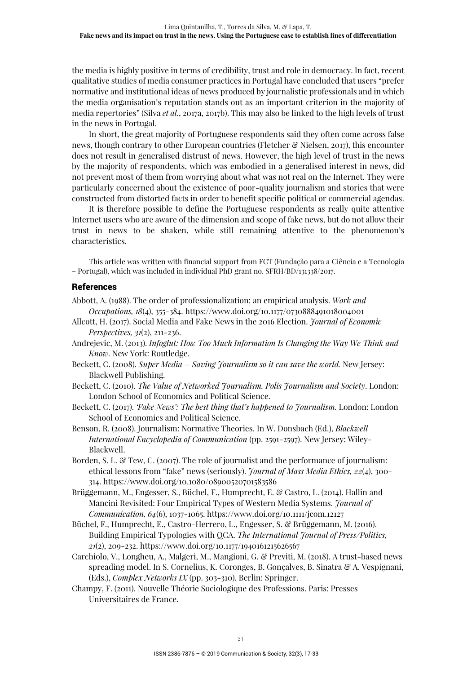the media is highly positive in terms of credibility, trust and role in democracy. In fact, recent qualitative studies of media consumer practices in Portugal have concluded that users "prefer normative and institutional ideas of news produced by journalistic professionals and in which the media organisation's reputation stands out as an important criterion in the majority of media repertories" (Silva *et al.*, 2017a, 2017b). This may also be linked to the high levels of trust in the news in Portugal.

In short, the great majority of Portuguese respondents said they often come across false news, though contrary to other European countries (Fletcher & Nielsen, 2017), this encounter does not result in generalised distrust of news. However, the high level of trust in the news by the majority of respondents, which was embodied in a generalised interest in news, did not prevent most of them from worrying about what was not real on the Internet. They were particularly concerned about the existence of poor-quality journalism and stories that were constructed from distorted facts in order to benefit specific political or commercial agendas.

It is therefore possible to define the Portuguese respondents as really quite attentive Internet users who are aware of the dimension and scope of fake news, but do not allow their trust in news to be shaken, while still remaining attentive to the phenomenon's characteristics.

This article was written with financial support from FCT (Fundação para a Ciência e a Tecnologia – Portugal), which was included in individual PhD grant no. SFRH/BD/131338/2017.

# References

- Abbott, A. (1988). The order of professionalization: an empirical analysis. *Work and Occupations, 18*(4), 355-384. https://www.doi.org/10.1177/0730888491018004001
- Allcott, H. (2017). Social Media and Fake News in the 2016 Election. *Journal of Economic Perspectives, 31*(2), 211-236.
- Andrejevic, M. (2013). *Infoglut: How Too Much Information Is Changing the Way We Think and Know*. New York: Routledge.
- Beckett, C. (2008). *Super Media Saving Journalism so it can save the world.* New Jersey: Blackwell Publishing.
- Beckett, C. (2010). *The Value of Networked Journalism. Polis Journalism and Society*. London: London School of Economics and Political Science.
- Beckett, C. (2017). *'Fake News': The best thing that's happened to Journalism.* London: London School of Economics and Political Science.
- Benson, R. (2008). Journalism: Normative Theories. In W. Donsbach (Ed.), *Blackwell International Encyclopedia of Communication* (pp. 2591-2597). New Jersey: Wiley-Blackwell.
- Borden, S. L. & Tew, C. (2007). The role of journalist and the performance of journalism: ethical lessons from "fake" news (seriously). *Journal of Mass Media Ethics, 22*(4), 300- 314. https://www.doi.org/10.1080/08900520701583586
- Brüggemann, M., Engesser, S., Büchel, F., Humprecht, E. & Castro, L. (2014). Hallin and Mancini Revisited: Four Empirical Types of Western Media Systems. *Journal of Communication, 64*(6), 1037-1065. https://www.doi.org/10.1111/jcom.12127
- Büchel, F., Humprecht, E., Castro-Herrero, L., Engesser, S. & Brüggemann, M. (2016). Building Empirical Typologies with QCA. *The International Journal of Press/Politics, 21*(2), 209-232. https://www.doi.org/10.1177/1940161215626567
- Carchiolo, V., Longheu, A., Malgeri, M., Mangioni, G. & Previti, M. (2018). A trust-based news spreading model. In S. Cornelius, K. Coronges, B. Gonçalves, B. Sinatra & A. Vespignani, (Eds.), *Complex Networks IX* (pp. 303-310). Berlin: Springer.
- Champy, F. (2011). Nouvelle Théorie Sociologique des Professions. Paris: Presses Universitaires de France.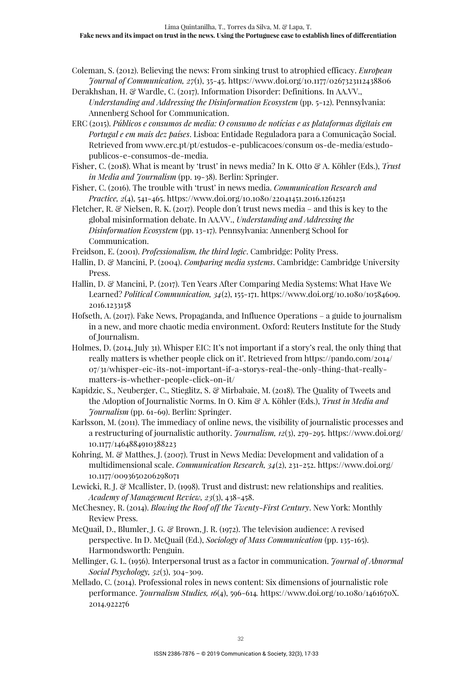- Coleman, S. (2012). Believing the news: From sinking trust to atrophied efficacy. *European Journal of Communication, 27*(1), 35-45. https://www.doi.org/10.1177/0267323112438806
- Derakhshan, H. & Wardle, C. (2017). Information Disorder: Definitions. In AA.VV., *Understanding and Addressing the Disinformation Ecosystem* (pp. 5-12). Pennsylvania: Annenberg School for Communication.
- ERC (2015). *Públicos e consumos de media: O consumo de notícias e as plataformas digitais em Portugal e em mais dez países*. Lisboa: Entidade Reguladora para a Comunicação Social. Retrieved from www.erc.pt/pt/estudos-e-publicacoes/consum os-de-media/estudopublicos-e-consumos-de-media.
- Fisher, C. (2018). What is meant by 'trust' in news media? In K. Otto & A. Köhler (Eds.), *Trust*  in Media and *Journalism* (pp. 19-38). Berlin: Springer.
- Fisher, C. (2016). The trouble with 'trust' in news media. *Communication Research and Practice, 2*(4), 541-465. https://www.doi.org/10.1080/22041451.2016.1261251
- Fletcher, R. & Nielsen, R. K. (2017). People don't trust news media and this is key to the global misinformation debate. In AA.VV., *Understanding and Addressing the Disinformation Ecosystem* (pp. 13-17). Pennsylvania: Annenberg School for Communication.
- Freidson, E. (2001). *Professionalism, the third logic*. Cambridge: Polity Press.
- Hallin, D. & Mancini, P. (2004). *Comparing media systems*. Cambridge: Cambridge University Press.
- Hallin, D. & Mancini, P. (2017). Ten Years After Comparing Media Systems: What Have We Learned? *Political Communication, 34*(2), 155-171. https://www.doi.org/10.1080/10584609. 2016.1233158
- Hofseth, A. (2017). Fake News, Propaganda, and Influence Operations a guide to journalism in a new, and more chaotic media environment. Oxford: Reuters Institute for the Study of Journalism.
- Holmes, D. (2014, July 31). Whisper EIC: It's not important if a story's real, the only thing that really matters is whether people click on it'. Retrieved from https://pando.com/2014/ 07/31/whisper-eic-its-not-important-if-a-storys-real-the-only-thing-that-reallymatters-is-whether-people-click-on-it/
- Kapidzic, S., Neuberger, C., Stieglitz, S. & Mirbabaie, M. (2018). The Quality of Tweets and the Adoption of Journalistic Norms. In O. Kim & A. Köhler (Eds.), *Trust in Media and Journalism* (pp. 61-69). Berlin: Springer.
- Karlsson, M. (2011). The immediacy of online news, the visibility of journalistic processes and a restructuring of journalistic authority. *Journalism, 12*(3), 279-295. https://www.doi.org/ 10.1177/1464884910388223
- Kohring, M. & Matthes, J. (2007). Trust in News Media: Development and validation of a multidimensional scale. *Communication Research, 34*(2), 231-252. https://www.doi.org/ 10.1177/0093650206298071
- Lewicki, R. J. & Mcallister, D. (1998). Trust and distrust: new relationships and realities. *Academy of Management Review, 23*(3), 438-458.
- McChesney, R. (2014). *Blowing the Roof off the Twenty-First Century*. New York: Monthly Review Press.
- McQuail, D., Blumler, J. G. & Brown, J. R. (1972). The television audience: A revised perspective. In D. McQuail (Ed.), *Sociology of Mass Communication* (pp. 135-165). Harmondsworth: Penguin.
- Mellinger, G. L. (1956). Interpersonal trust as a factor in communication. *Journal of Abnormal Social Psychology, 52*(3), 304-309.
- Mellado, C. (2014). Professional roles in news content: Six dimensions of journalistic role performance. *Journalism Studies, 16*(4), 596-614*.* https://www.doi.org/10.1080/1461670X. 2014.922276